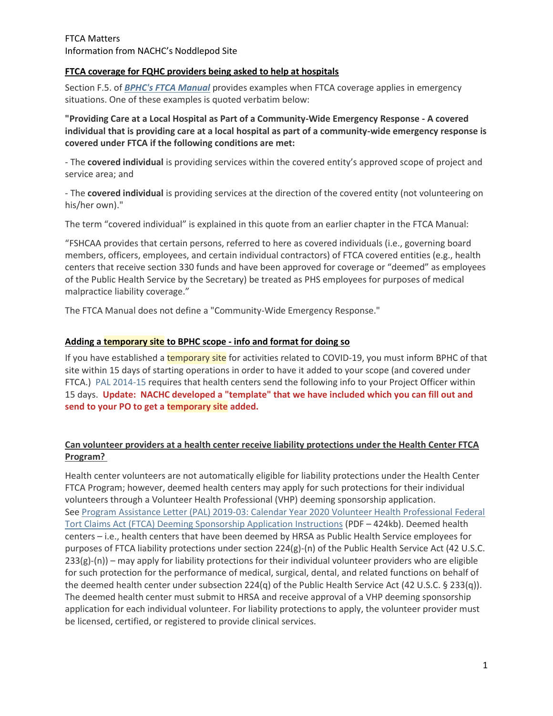#### FTCA Matters Information from NACHC's Noddlepod Site

### **FTCA coverage for FQHC providers being asked to help at hospitals**

Section F.5. of *[BPHC's FTCA Manual](https://bphc.hrsa.gov/sites/default/files/bphc/ftca/pdf/ftcahcpolicymanualpdf.pdf)* provides examples when FTCA coverage applies in emergency situations. One of these examples is quoted verbatim below:

**"Providing Care at a Local Hospital as Part of a Community-Wide Emergency Response - A covered individual that is providing care at a local hospital as part of a community-wide emergency response is covered under FTCA if the following conditions are met:**

- The **covered individual** is providing services within the covered entity's approved scope of project and service area; and

- The **covered individual** is providing services at the direction of the covered entity (not volunteering on his/her own)."

The term "covered individual" is explained in this quote from an earlier chapter in the FTCA Manual:

"FSHCAA provides that certain persons, referred to here as covered individuals (i.e., governing board members, officers, employees, and certain individual contractors) of FTCA covered entities (e.g., health centers that receive section 330 funds and have been approved for coverage or "deemed" as employees of the Public Health Service by the Secretary) be treated as PHS employees for purposes of medical malpractice liability coverage."

The FTCA Manual does not define a "Community-Wide Emergency Response."

# **Adding a temporary site to BPHC scope - info and format for doing so**

If you have established a temporary site for activities related to COVID-19, you must inform BPHC of that site within 15 days of starting operations in order to have it added to your scope (and covered under FTCA.) [PAL 2014-15](https://bphc.hrsa.gov/sites/default/files/bphc/programrequirements/pdf/pal201405.pdf) requires that health centers send the following info to your Project Officer within 15 days. **Update: NACHC developed a "template" that we have included which you can fill out and send to your PO to get a temporary site added.**

# **Can volunteer providers at a health center receive liability protections under the Health Center FTCA Program?**

Health center volunteers are not automatically eligible for liability protections under the Health Center FTCA Program; however, deemed health centers may apply for such protections for their individual volunteers through a Volunteer Health Professional (VHP) deeming sponsorship application. See [Program Assistance Letter \(PAL\) 2019-03: Calendar Year 2020 Volunteer Health Professional Federal](https://bphc.hrsa.gov/sites/default/files/bphc/ftca/pdf/pal-2019-03.pdf)  [Tort Claims Act \(FTCA\) Deeming Sponsorship Application Instructions](https://bphc.hrsa.gov/sites/default/files/bphc/ftca/pdf/pal-2019-03.pdf) (PDF – 424kb). Deemed health centers – i.e., health centers that have been deemed by HRSA as Public Health Service employees for purposes of FTCA liability protections under section 224(g)-(n) of the Public Health Service Act (42 U.S.C. 233(g)-(n)) – may apply for liability protections for their individual volunteer providers who are eligible for such protection for the performance of medical, surgical, dental, and related functions on behalf of the deemed health center under subsection 224(q) of the Public Health Service Act (42 U.S.C. § 233(q)). The deemed health center must submit to HRSA and receive approval of a VHP deeming sponsorship application for each individual volunteer. For liability protections to apply, the volunteer provider must be licensed, certified, or registered to provide clinical services.